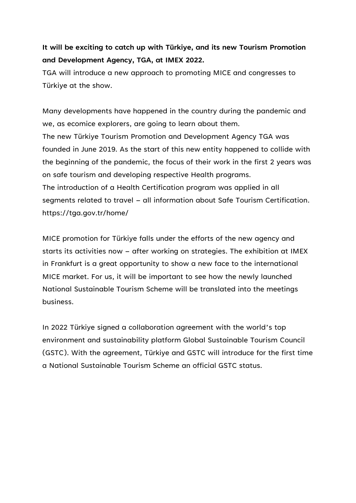## **It will be exciting to catch up with Türkiye, and its new Tourism Promotion and Development Agency, TGA, at IMEX 2022.**

TGA will introduce a new approach to promoting MICE and congresses to Türkiye at the show.

Many developments have happened in the country during the pandemic and we, as ecomice explorers, are going to learn about them. The new Türkiye Tourism Promotion and Development Agency TGA was founded in June 2019. As the start of this new entity happened to collide with the beginning of the pandemic, the focus of their work in the first 2 years was on safe tourism and developing respective Health programs. The introduction of a Health Certification program was applied in all segments related to travel – all information about Safe Tourism Certification. https://tga.gov.tr/home/

MICE promotion for Türkiye falls under the efforts of the new agency and starts its activities now – after working on strategies. The exhibition at IMEX in Frankfurt is a great opportunity to show a new face to the international MICE market. For us, it will be important to see how the newly launched National Sustainable Tourism Scheme will be translated into the meetings business.

In 2022 Türkiye signed a collaboration agreement with the world's top environment and sustainability platform Global Sustainable Tourism Council (GSTC). With the agreement, Türkiye and GSTC will introduce for the first time a National Sustainable Tourism Scheme an official GSTC status.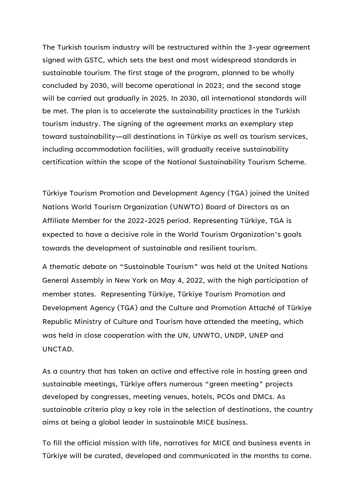The Turkish tourism industry will be restructured within the 3-year agreement signed with GSTC, which sets the best and most widespread standards in sustainable tourism. The first stage of the program, planned to be wholly concluded by 2030, will become operational in 2023; and the second stage will be carried out gradually in 2025. In 2030, all international standards will be met. The plan is to accelerate the sustainability practices in the Turkish tourism industry. The signing of the agreement marks an exemplary step toward sustainability—all destinations in Türkiye as well as tourism services, including accommodation facilities, will gradually receive sustainability certification within the scope of the National Sustainability Tourism Scheme.

Türkiye Tourism Promotion and Development Agency (TGA) joined the United Nations World Tourism Organization (UNWTO) Board of Directors as an Affiliate Member for the 2022-2025 period. Representing Türkiye, TGA is expected to have a decisive role in the World Tourism Organization's goals towards the development of sustainable and resilient tourism.

A thematic debate on "Sustainable Tourism" was held at the United Nations General Assembly in New York on May 4, 2022, with the high participation of member states. Representing Türkiye, Türkiye Tourism Promotion and Development Agency (TGA) and the Culture and Promotion Attaché of Türkiye Republic Ministry of Culture and Tourism have attended the meeting, which was held in close cooperation with the UN, UNWTO, UNDP, UNEP and UNCTAD.

As a country that has taken an active and effective role in hosting green and sustainable meetings, Türkiye offers numerous "green meeting" projects developed by congresses, meeting venues, hotels, PCOs and DMCs. As sustainable criteria play a key role in the selection of destinations, the country aims at being a global leader in sustainable MICE business.

To fill the official mission with life, narratives for MICE and business events in Türkiye will be curated, developed and communicated in the months to come.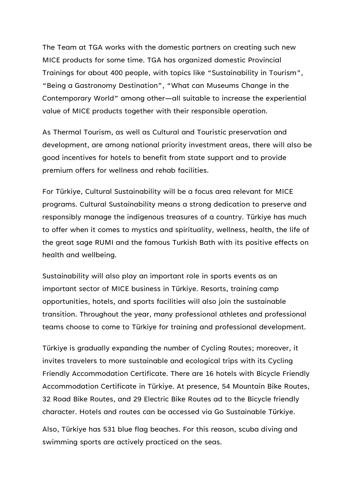The Team at TGA works with the domestic partners on creating such new MICE products for some time. TGA has organized domestic Provincial Trainings for about 400 people, with topics like "Sustainability in Tourism", "Being a Gastronomy Destination", "What can Museums Change in the Contemporary World" among other—all suitable to increase the experiential value of MICE products together with their responsible operation.

As Thermal Tourism, as well as Cultural and Touristic preservation and development, are among national priority investment areas, there will also be good incentives for hotels to benefit from state support and to provide premium offers for wellness and rehab facilities.

For Türkiye, Cultural Sustainability will be a focus area relevant for MICE programs. Cultural Sustainability means a strong dedication to preserve and responsibly manage the indigenous treasures of a country. Türkiye has much to offer when it comes to mystics and spirituality, wellness, health, the life of the great sage RUMI and the famous Turkish Bath with its positive effects on health and wellbeing.

Sustainability will also play an important role in sports events as an important sector of MICE business in Türkiye. Resorts, training camp opportunities, hotels, and sports facilities will also join the sustainable transition. Throughout the year, many professional athletes and professional teams choose to come to Türkiye for training and professional development.

Türkiye is gradually expanding the number of Cycling Routes; moreover, it invites travelers to more sustainable and ecological trips with its Cycling Friendly Accommodation Certificate. There are 16 hotels with Bicycle Friendly Accommodation Certificate in Türkiye. At presence, 54 Mountain Bike Routes, 32 Road Bike Routes, and 29 Electric Bike Routes ad to the Bicycle friendly character. Hotels and routes can be accessed via Go Sustainable Türkiye.

Also, Türkiye has 531 blue flag beaches. For this reason, scuba diving and swimming sports are actively practiced on the seas.